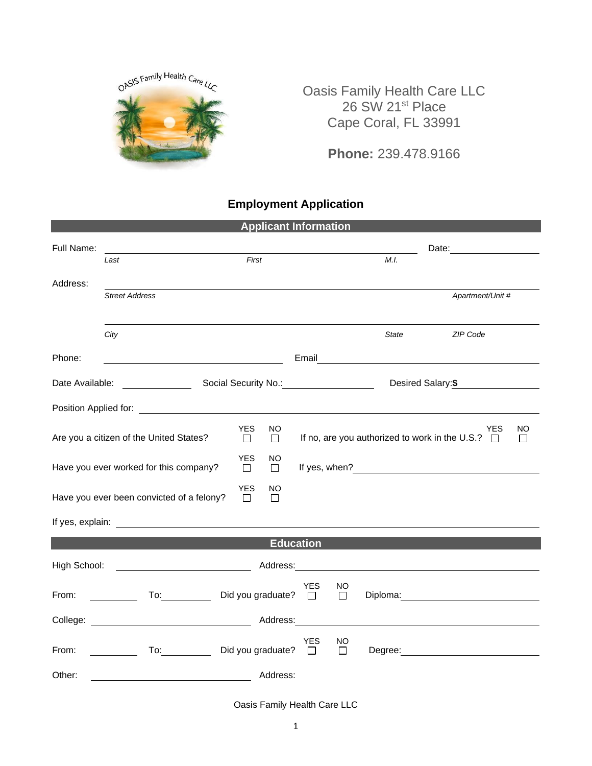

Oasis Family Health Care LLC 26 SW 21<sup>st</sup> Place Cape Coral, FL 33991

**Phone:** 239.478.9166

## **Employment Application**

| <b>Applicant Information</b>                                      |                                                                                                                      |  |              |               |                  |              |                                                                     |                                                                                                                                                                                                                                      |  |
|-------------------------------------------------------------------|----------------------------------------------------------------------------------------------------------------------|--|--------------|---------------|------------------|--------------|---------------------------------------------------------------------|--------------------------------------------------------------------------------------------------------------------------------------------------------------------------------------------------------------------------------------|--|
| Full Name:                                                        |                                                                                                                      |  |              |               |                  |              | Date: __________________                                            |                                                                                                                                                                                                                                      |  |
|                                                                   | Last                                                                                                                 |  | First        |               |                  |              | M.I.                                                                |                                                                                                                                                                                                                                      |  |
| Address:                                                          | <b>Street Address</b>                                                                                                |  |              |               |                  |              |                                                                     | Apartment/Unit #                                                                                                                                                                                                                     |  |
|                                                                   |                                                                                                                      |  |              |               |                  |              |                                                                     |                                                                                                                                                                                                                                      |  |
|                                                                   | City                                                                                                                 |  |              |               |                  |              | <b>State</b>                                                        | ZIP Code                                                                                                                                                                                                                             |  |
| Phone:                                                            | <u> 1980 - Johann Barbara, martin amerikan basar dan basar dalam basar dalam basar dalam basar dalam basar dalam</u> |  |              |               |                  |              |                                                                     |                                                                                                                                                                                                                                      |  |
| Social Security No.: 1994<br>Date Available:                      |                                                                                                                      |  |              |               |                  |              |                                                                     | Desired Salary: \$                                                                                                                                                                                                                   |  |
|                                                                   |                                                                                                                      |  |              |               |                  |              |                                                                     |                                                                                                                                                                                                                                      |  |
| <b>YES</b><br>Are you a citizen of the United States?<br>$\Box$   |                                                                                                                      |  | NO<br>$\Box$ |               |                  |              | <b>YES</b><br>If no, are you authorized to work in the U.S.? $\Box$ | NO<br>П                                                                                                                                                                                                                              |  |
| YES.<br>Have you ever worked for this company?<br>$\Box$          |                                                                                                                      |  |              | NO.<br>$\Box$ |                  |              |                                                                     |                                                                                                                                                                                                                                      |  |
| <b>YES</b><br>Have you ever been convicted of a felony?<br>$\Box$ |                                                                                                                      |  |              | NO<br>□       |                  |              |                                                                     |                                                                                                                                                                                                                                      |  |
|                                                                   |                                                                                                                      |  |              |               |                  |              |                                                                     |                                                                                                                                                                                                                                      |  |
|                                                                   |                                                                                                                      |  |              |               | <b>Education</b> |              |                                                                     |                                                                                                                                                                                                                                      |  |
|                                                                   |                                                                                                                      |  |              | Address: 2000 |                  |              |                                                                     |                                                                                                                                                                                                                                      |  |
| From:                                                             | To: Did you graduate? □<br><u> a shekara ta 1999 a shekara t</u>                                                     |  |              |               | <b>YES</b>       | NO<br>$\Box$ |                                                                     |                                                                                                                                                                                                                                      |  |
|                                                                   |                                                                                                                      |  |              |               |                  |              |                                                                     | College: <u>New York: Address: Address: Address: Address: Address: Address: Address: Address: Address: Address: Address: Address: Address: Address: Address: Address: Address: Address: Address: Address: Address: Address: Addr</u> |  |
| From:                                                             | To: Did you graduate? □                                                                                              |  |              |               | YES              | NO<br>$\Box$ |                                                                     | Degree: National Contract of the Contract of the Contract of the Contract of the Contract of the Contract of the Contract of the Contract of the Contract of the Contract of the Contract of the Contract of the Contract of t       |  |
| Other:                                                            |                                                                                                                      |  |              | Address:      |                  |              |                                                                     |                                                                                                                                                                                                                                      |  |

Oasis Family Health Care LLC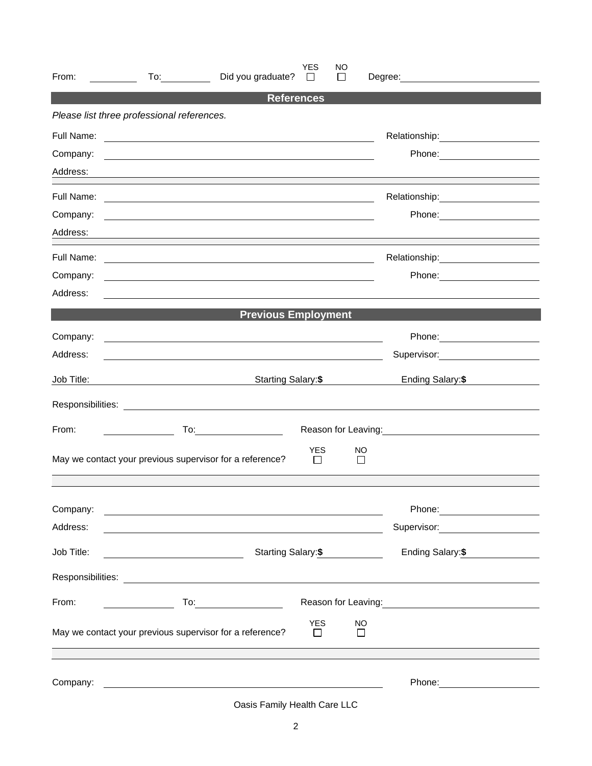| From:      | Did you graduate?<br>To: and the state of the state of the state of the state of the state of the state of the state of the state o                                                                                                 | YES<br>$\perp$       | <b>NO</b><br>$\mathbf{L}$ | Degree: <u>_____________________</u>                                                                                                                                                                                                   |                   |
|------------|-------------------------------------------------------------------------------------------------------------------------------------------------------------------------------------------------------------------------------------|----------------------|---------------------------|----------------------------------------------------------------------------------------------------------------------------------------------------------------------------------------------------------------------------------------|-------------------|
|            |                                                                                                                                                                                                                                     | <b>References</b>    |                           |                                                                                                                                                                                                                                        |                   |
|            | Please list three professional references.                                                                                                                                                                                          |                      |                           |                                                                                                                                                                                                                                        |                   |
| Full Name: | <u> 1989 - Jan Samuel Barbara, martin da shekarar 1980 - An tsara tsara tsara tsara tsara tsara tsara tsara tsar</u>                                                                                                                |                      |                           | Relationship: ___________________                                                                                                                                                                                                      |                   |
| Company:   | <u> 1989 - Johann Stein, fransk politiker (d. 1989)</u>                                                                                                                                                                             |                      |                           |                                                                                                                                                                                                                                        |                   |
| Address:   |                                                                                                                                                                                                                                     |                      |                           |                                                                                                                                                                                                                                        |                   |
|            |                                                                                                                                                                                                                                     |                      |                           |                                                                                                                                                                                                                                        |                   |
| Company:   | <u> 1989 - Johann Stoff, deutscher Stoff, der Stoff, der Stoff, der Stoff, der Stoff, der Stoff, der Stoff, der S</u>                                                                                                               |                      |                           |                                                                                                                                                                                                                                        |                   |
| Address:   |                                                                                                                                                                                                                                     |                      |                           |                                                                                                                                                                                                                                        |                   |
|            |                                                                                                                                                                                                                                     |                      |                           | Relationship: example and the set of the set of the set of the set of the set of the set of the set of the set of the set of the set of the set of the set of the set of the set of the set of the set of the set of the set o         |                   |
| Company:   |                                                                                                                                                                                                                                     |                      |                           |                                                                                                                                                                                                                                        |                   |
| Address:   |                                                                                                                                                                                                                                     |                      |                           |                                                                                                                                                                                                                                        |                   |
|            | <b>Previous Employment</b>                                                                                                                                                                                                          |                      |                           |                                                                                                                                                                                                                                        |                   |
| Company:   | <u> 1989 - Johann Barn, mars ann an t-Amhain an t-Amhain ann an t-Amhain an t-Amhain an t-Amhain an t-Amhain ann </u>                                                                                                               |                      |                           |                                                                                                                                                                                                                                        |                   |
| Address:   |                                                                                                                                                                                                                                     |                      |                           | Supervisor:                                                                                                                                                                                                                            |                   |
| Job Title: |                                                                                                                                                                                                                                     | Starting Salary:\$   |                           | Ending Salary: \$                                                                                                                                                                                                                      |                   |
|            |                                                                                                                                                                                                                                     |                      |                           |                                                                                                                                                                                                                                        |                   |
| From:      | To:_____________________                                                                                                                                                                                                            |                      |                           | Reason for Leaving:<br><u>Next and the manual contract of the set of the set of the set of the set of the set of the set of the set of the set of the set of the set of the set of the set of the set of the set of the set of the</u> |                   |
|            | May we contact your previous supervisor for a reference?                                                                                                                                                                            | <b>YES</b>           | NO<br>$\mathbf{1}$        |                                                                                                                                                                                                                                        |                   |
| Company:   | <u> 1989 - Johann Harry Communication (b. 1989)</u>                                                                                                                                                                                 |                      |                           | Phone: ________________________                                                                                                                                                                                                        |                   |
| Address:   | <u> 1989 - Johann Barn, mars ann an t-Amhain ann an t-Amhain an t-Amhain an t-Amhain an t-Amhain an t-Amhain an t-</u>                                                                                                              |                      |                           | Supervisor: _______________________                                                                                                                                                                                                    |                   |
| Job Title: | <u> 1980 - Johann Barbara, martin a</u>                                                                                                                                                                                             | Starting Salary:\$   |                           |                                                                                                                                                                                                                                        | Ending Salary: \$ |
|            |                                                                                                                                                                                                                                     |                      |                           |                                                                                                                                                                                                                                        |                   |
| From:      |                                                                                                                                                                                                                                     |                      |                           | Reason for Leaving: 1997                                                                                                                                                                                                               |                   |
|            | May we contact your previous supervisor for a reference?                                                                                                                                                                            | <b>YES</b><br>$\Box$ | NO<br>$\Box$              |                                                                                                                                                                                                                                        |                   |
|            |                                                                                                                                                                                                                                     |                      |                           | Phone: _______________________                                                                                                                                                                                                         |                   |
|            | Company: <u>example and the company:</u> company: example and the company: example and the company of the company of the company of the company of the company of the company of the company of the company of the company of the c |                      |                           |                                                                                                                                                                                                                                        |                   |

Oasis Family Health Care LLC